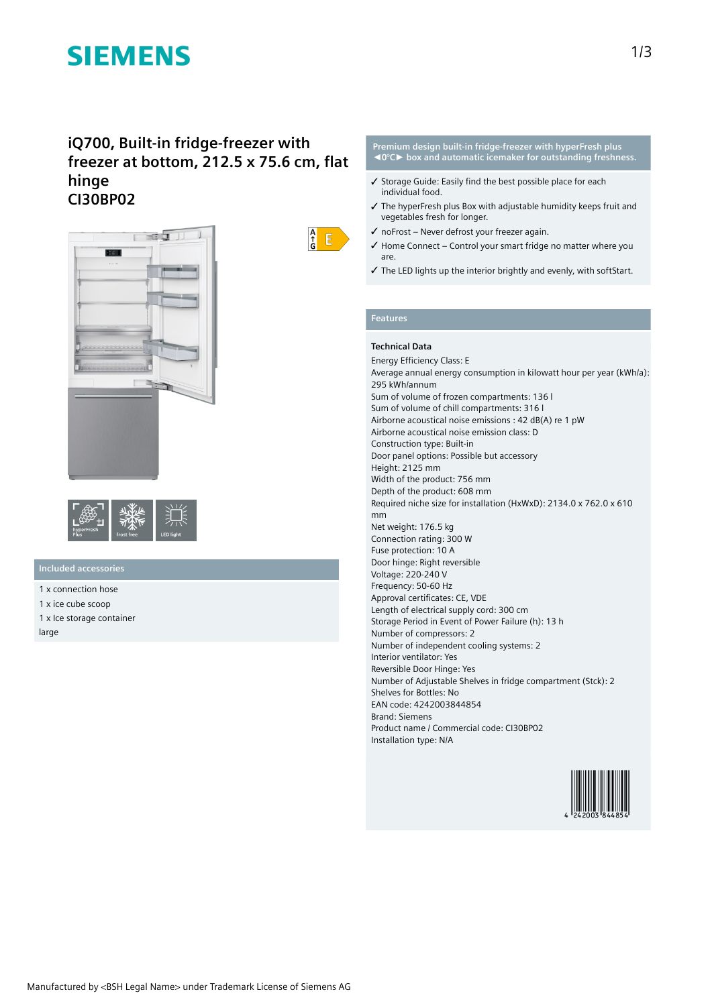# **SIEMENS**

## **iQ700, Built-in fridge-freezer with freezer at bottom, 212.5 x 75.6 cm, flat hinge CI30BP02**





## **Included accessories**

- 1 x connection hose 1 x ice cube scoop
- 1 x Ice storage container

large



#### **Premium design built-in fridge-freezer with hyperFresh plus ◄0°C► box and automatic icemaker for outstanding freshness.**

- ✓ Storage Guide: Easily find the best possible place for each individual food.
- ✓ The hyperFresh plus Box with adjustable humidity keeps fruit and vegetables fresh for longer.
- $\checkmark$  no Frost Never defrost your freezer again.
- ✓ Home Connect Control your smart fridge no matter where you are.
- ✓ The LED lights up the interior brightly and evenly, with softStart.

### **Features**

### **Technical Data**

Energy Efficiency Class: E Average annual energy consumption in kilowatt hour per year (kWh/a): 295 kWh/annum Sum of volume of frozen compartments: 136 l Sum of volume of chill compartments: 316 l Airborne acoustical noise emissions : 42 dB(A) re 1 pW Airborne acoustical noise emission class: D Construction type: Built-in Door panel options: Possible but accessory Height: 2125 mm Width of the product: 756 mm Depth of the product: 608 mm Required niche size for installation (HxWxD): 2134.0 x 762.0 x 610 mm Net weight: 176.5 kg Connection rating: 300 W Fuse protection: 10 A Door hinge: Right reversible Voltage: 220-240 V Frequency: 50-60 Hz Approval certificates: CE, VDE Length of electrical supply cord: 300 cm Storage Period in Event of Power Failure (h): 13 h Number of compressors: 2 Number of independent cooling systems: 2 Interior ventilator: Yes Reversible Door Hinge: Yes Number of Adjustable Shelves in fridge compartment (Stck): 2 Shelves for Bottles: No EAN code: 4242003844854 Brand: Siemens Product name / Commercial code: CI30BP02 Installation type: N/A

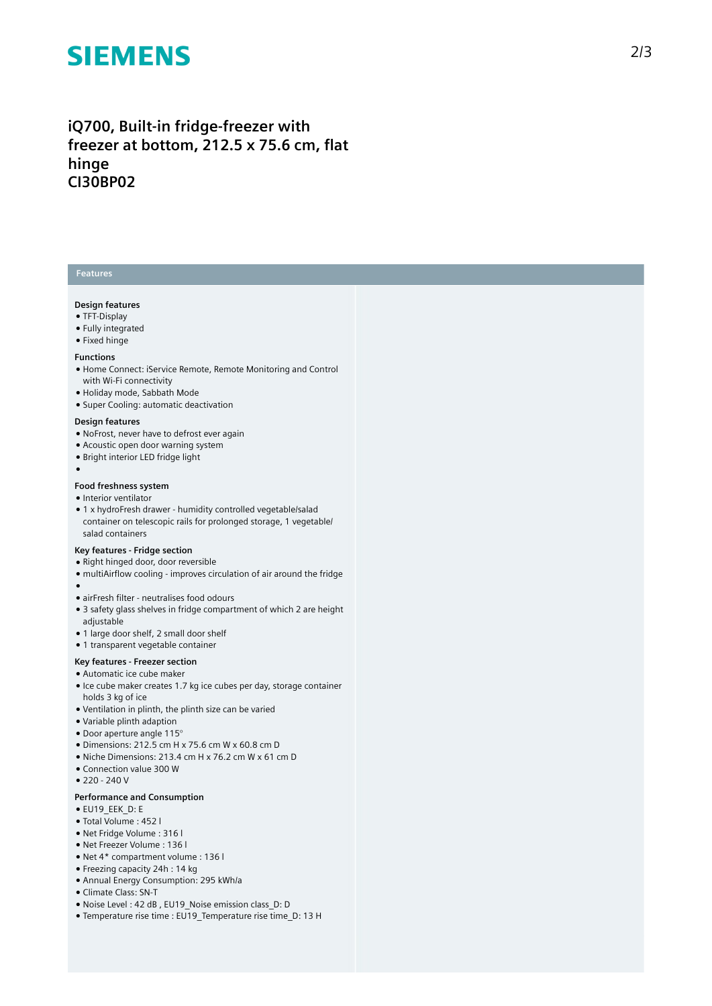# **SIEMENS**

## iQ700, Built-in fridge-freezer with freezer at bottom, 212.5 x 75.6 cm, flat **h i n g e CI30BP02**

### **Features**

#### **Design feature s**

- TFT-Display
- Fully integrated
- $\bullet$  Fixed hinge

#### **Functions**

- Home Connect: iService Remote, Remote Monitoring and Control with Wi-Fi connectivity
- Holiday mode, Sabbath Mode
- Super Cooling: automatic deactivation

#### Design features

- NoFrost, never have to defrost ever again
- Acoustic open door warning system
- Bright interior LED fridge light
- ●

#### Food freshness system

- Interior ventilator
- 1 x hydroFresh drawer humidity controlled vegetable/salad container on telescopic rails for prolonged storage, 1 vegetable/ salad containers

#### **Key features - Fridge section**

- Right hinged door, door reversible
- multiAirflow cooling improves circulation of air around the fridge
- 
- ●<br>● airFresh filter neutralises food odours
- $\bullet$  3 safety glass shelves in fridge compartment of which 2 are height adjustable
- 1 large door shelf, 2 small door shelf
- 1 transparent vegetable container

#### Key features - Freezer section

- Automatic ice cube maker
- Ice cube maker creates 1.7 kg ice cubes per day, storage container holds 3 kg of ice
- Ventilation in plinth, the plinth size can be varied
- Variable plinth adaption
- $\bullet$  Door aperture angle 115 $^{\circ}$
- $\bullet$  Dimensions: 212.5 cm H x 75.6 cm W x 60.8 cm D
- Niche Dimensions: 213.4 cm H x 76.2 cm W x 61 cm D
- Connection value 300 W
- 220 240 V

#### Performance and Consumption

- EU19\_EEK\_D: E
- Total Volume : 4 5 2 l
- Net Fridge Volume : 3 1 6 l
- Net Freezer Volume : 136 l
- Net 4\* compartment volume : 136 l
- Freezing capacity 24h : 14 kg
- Annual Energy Consumption: 295 kWh/a
- Climate Class: SN-T
- Noise Level : 42 dB, EU19\_Noise emission class\_D: D
- Temperature rise time : EU19\_Temperature rise time\_D: 13 H